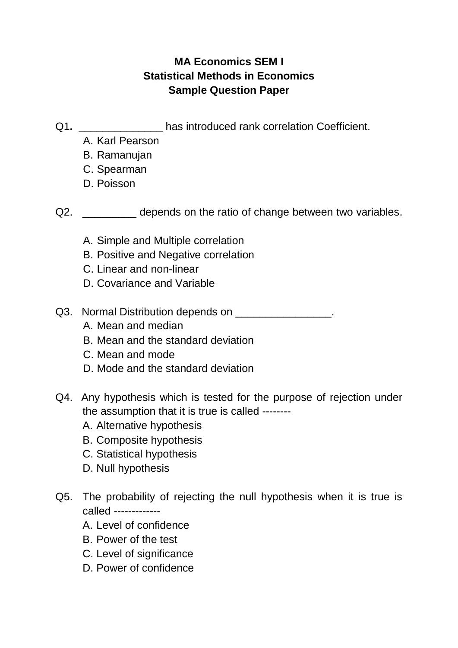## **MA Economics SEM I Statistical Methods in Economics Sample Question Paper**

- Q1. **Q1. Example 21. has introduced rank correlation Coefficient.** 
	- A. Karl Pearson
	- B. Ramanujan
	- C. Spearman
	- D. Poisson

Q2. \_\_\_\_\_\_\_\_\_\_ depends on the ratio of change between two variables.

- A. Simple and Multiple correlation
- B. Positive and Negative correlation
- C. Linear and non-linear
- D. Covariance and Variable
- Q3. Normal Distribution depends on \_\_\_\_\_\_\_\_\_\_\_\_\_\_\_.
	- A. Mean and median
	- B. Mean and the standard deviation
	- C. Mean and mode
	- D. Mode and the standard deviation
- Q4. Any hypothesis which is tested for the purpose of rejection under the assumption that it is true is called --------
	- A. Alternative hypothesis
	- B. Composite hypothesis
	- C. Statistical hypothesis
	- D. Null hypothesis
- Q5. The probability of rejecting the null hypothesis when it is true is called -------------
	- A. Level of confidence
	- B. Power of the test
	- C. Level of significance
	- D. Power of confidence